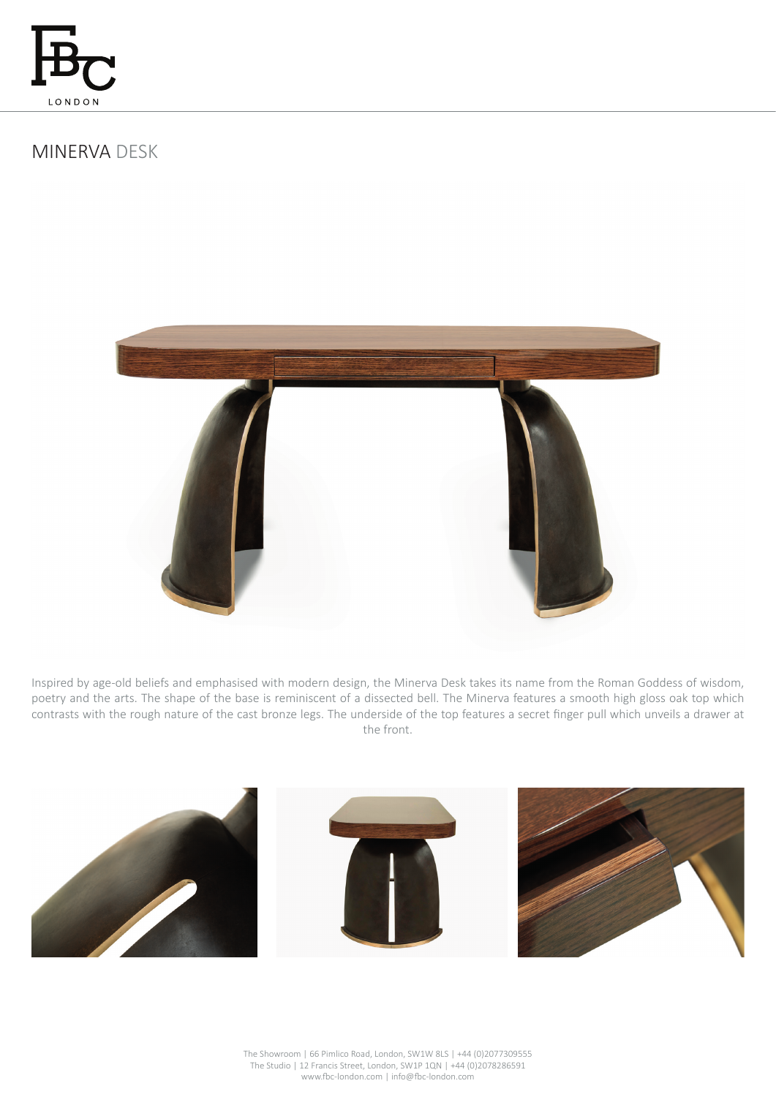

# MINERVA DESK



Inspired by age-old beliefs and emphasised with modern design, the Minerva Desk takes its name from the Roman Goddess of wisdom, poetry and the arts. The shape of the base is reminiscent of a dissected bell. The Minerva features a smooth high gloss oak top which contrasts with the rough nature of the cast bronze legs. The underside of the top features a secret finger pull which unveils a drawer at the front.